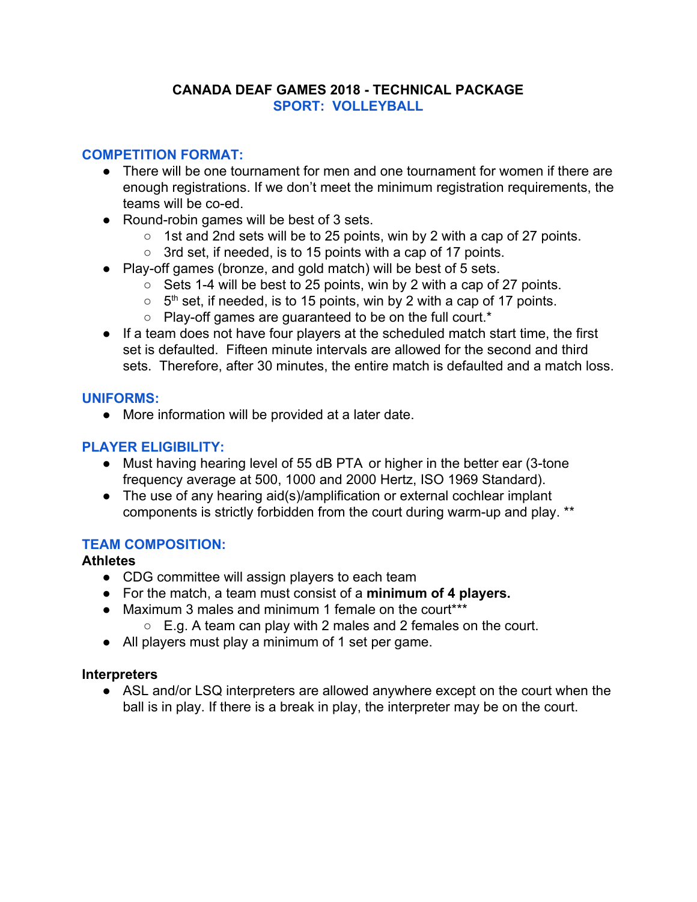### **CANADA DEAF GAMES 2018 - TECHNICAL PACKAGE SPORT: VOLLEYBALL**

# **COMPETITION FORMAT:**

- There will be one tournament for men and one tournament for women if there are enough registrations. If we don't meet the minimum registration requirements, the teams will be co-ed.
- Round-robin games will be best of 3 sets.
	- 1st and 2nd sets will be to 25 points, win by 2 with a cap of 27 points.
	- 3rd set, if needed, is to 15 points with a cap of 17 points.
- Play-off games (bronze, and gold match) will be best of 5 sets.
	- Sets 1-4 will be best to 25 points, win by 2 with a cap of 27 points.
	- $\circ$  5<sup>th</sup> set, if needed, is to 15 points, win by 2 with a cap of 17 points.
	- Play-off games are guaranteed to be on the full court.\*
- If a team does not have four players at the scheduled match start time, the first set is defaulted. Fifteen minute intervals are allowed for the second and third sets. Therefore, after 30 minutes, the entire match is defaulted and a match loss.

# **UNIFORMS:**

● More information will be provided at a later date.

# **PLAYER ELIGIBILITY:**

- Must having hearing level of 55 dB PTA or higher in the better ear (3-tone frequency average at 500, 1000 and 2000 Hertz, ISO 1969 Standard).
- The use of any hearing aid(s)/amplification or external cochlear implant components is strictly forbidden from the court during warm-up and play. \*\*

# **TEAM COMPOSITION:**

# **Athletes**

- CDG committee will assign players to each team
- For the match, a team must consist of a **minimum of 4 players.**
- Maximum 3 males and minimum 1 female on the court\*\*\*
	- $\circ$  E.g. A team can play with 2 males and 2 females on the court.
- All players must play a minimum of 1 set per game.

# **Interpreters**

• ASL and/or LSQ interpreters are allowed anywhere except on the court when the ball is in play. If there is a break in play, the interpreter may be on the court.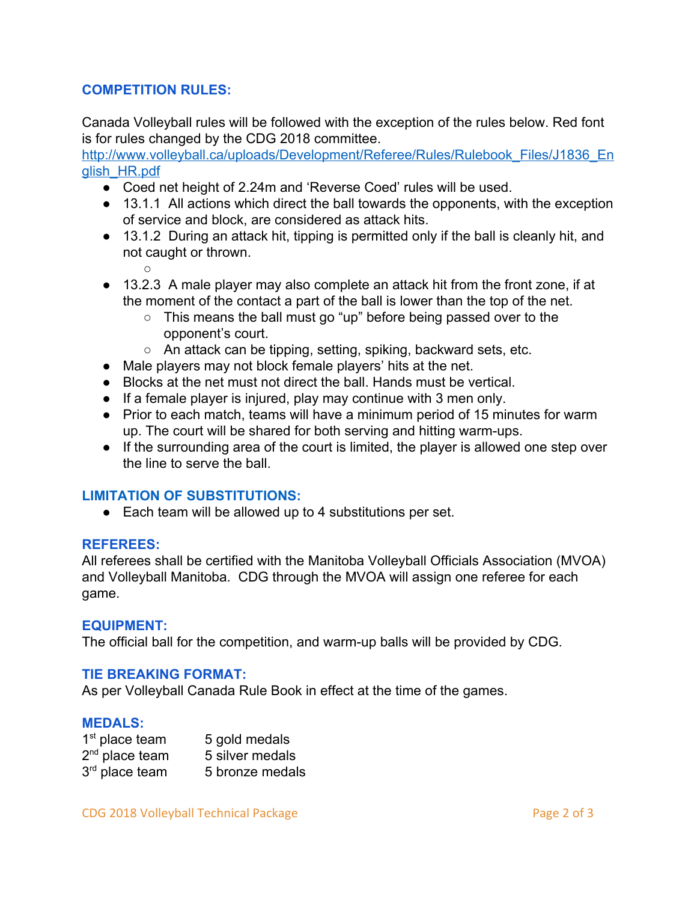### **COMPETITION RULES:**

Canada Volleyball rules will be followed with the exception of the rules below. Red font is for rules changed by the CDG 2018 committee.

[http://www.volleyball.ca/uploads/Development/Referee/Rules/Rulebook\\_Files/J1836\\_En](http://www.volleyball.ca/uploads/Development/Referee/Rules/Rulebook_Files/J1836_English_HR.pdf) [glish\\_HR.pdf](http://www.volleyball.ca/uploads/Development/Referee/Rules/Rulebook_Files/J1836_English_HR.pdf)

- Coed net height of 2.24m and 'Reverse Coed' rules will be used.
- 13.1.1 All actions which direct the ball towards the opponents, with the exception of service and block, are considered as attack hits.
- 13.1.2 During an attack hit, tipping is permitted only if the ball is cleanly hit, and not caught or thrown.
	- $\Omega$
- 13.2.3 A male player may also complete an attack hit from the front zone, if at the moment of the contact a part of the ball is lower than the top of the net.
	- This means the ball must go "up" before being passed over to the opponent's court.
	- An attack can be tipping, setting, spiking, backward sets, etc.
- Male players may not block female players' hits at the net.
- Blocks at the net must not direct the ball. Hands must be vertical.
- If a female player is injured, play may continue with 3 men only.
- Prior to each match, teams will have a minimum period of 15 minutes for warm up. The court will be shared for both serving and hitting warm-ups.
- If the surrounding area of the court is limited, the player is allowed one step over the line to serve the ball.

# **LIMITATION OF SUBSTITUTIONS:**

● Each team will be allowed up to 4 substitutions per set.

### **REFEREES:**

All referees shall be certified with the Manitoba Volleyball Officials Association (MVOA) and Volleyball Manitoba. CDG through the MVOA will assign one referee for each game.

### **EQUIPMENT:**

The official ball for the competition, and warm-up balls will be provided by CDG.

### **TIE BREAKING FORMAT:**

As per Volleyball Canada Rule Book in effect at the time of the games.

### **MEDALS:**

| $1st$ place team | 5 gold medals   |
|------------------|-----------------|
| $2nd$ place team | 5 silver medals |
| $3rd$ place team | 5 bronze medals |